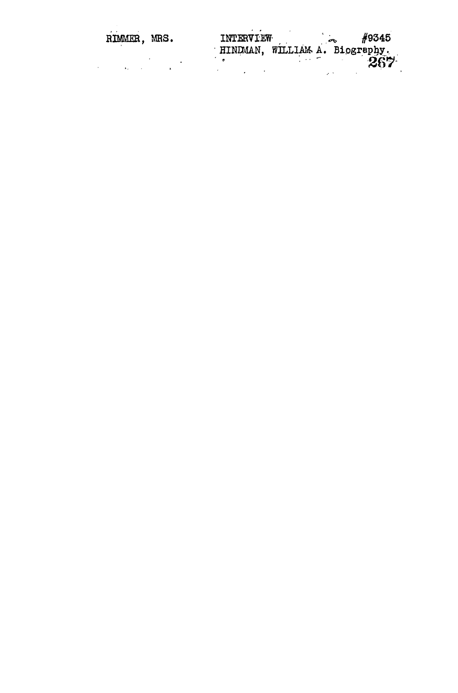| RIMMER, MRS. | <b>INTERVIEW</b><br>HINDMAN, WILLIAM A. Biography. | #9345 |
|--------------|----------------------------------------------------|-------|
|              |                                                    | ንሮሧ.  |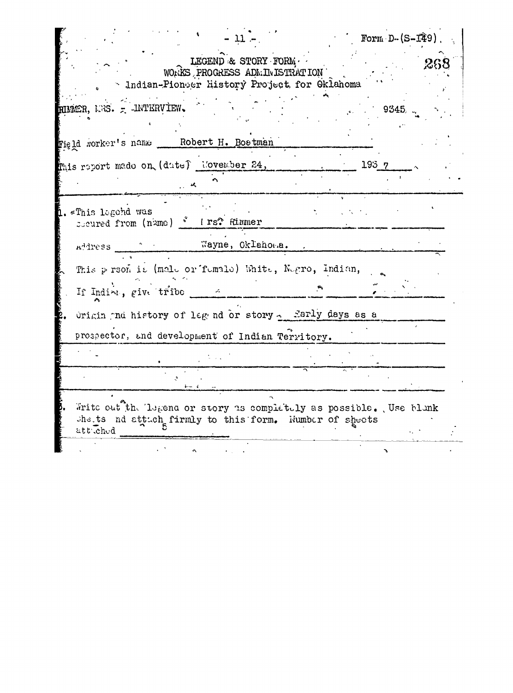|                                                                                                                                         |                                                                                                        | Form $D-(S-T29)$ .  |  |  |
|-----------------------------------------------------------------------------------------------------------------------------------------|--------------------------------------------------------------------------------------------------------|---------------------|--|--|
|                                                                                                                                         | LEGEND & STORY FORM.<br>WORKS PROGRESS ADMINISTRATION<br>- Indian-Pionser History Project for Oklahoma |                     |  |  |
| RIMMER, NRS. = INTERVIEW.                                                                                                               |                                                                                                        | $\sim$ 9345, $\sim$ |  |  |
| Figld worker's name __ Robert H. Bostman                                                                                                |                                                                                                        |                     |  |  |
| this report made on (dute) liovember 24,                                                                                                |                                                                                                        | 1937                |  |  |
| 1.«This legehd was<br>Socured from (name) * Irs? Rimmer                                                                                 |                                                                                                        |                     |  |  |
| Address Nayne, Oklahoma.                                                                                                                |                                                                                                        |                     |  |  |
| This person is (male or female) White, Negro, Indian,<br>If India, give tribe a                                                         |                                                                                                        |                     |  |  |
| Origin and history of leg nd or story - Early days as a                                                                                 |                                                                                                        |                     |  |  |
| prospector, and development of Indian Territory.                                                                                        |                                                                                                        |                     |  |  |
|                                                                                                                                         |                                                                                                        |                     |  |  |
|                                                                                                                                         |                                                                                                        |                     |  |  |
| Write out the legend or story as completely as possible. Use blank<br>shets nd attach firmly to this form. Wumber of sheets<br>att ched |                                                                                                        |                     |  |  |
|                                                                                                                                         |                                                                                                        |                     |  |  |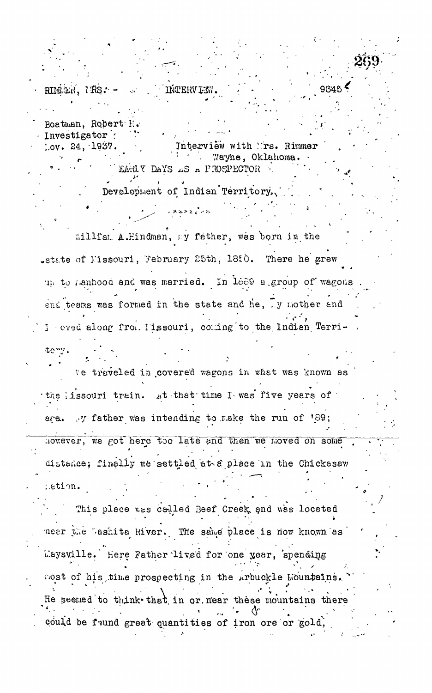**IŃTERV IE** RIMAR. MRS. -Boatman, Robert H.

Investigator : Interview with Trs. Rimmer  $1.0y. 24, 1937.$ Wayne, Oklahoma. EARLY DAYS AS A PROSPECTOR

Development of Indian Territory.

an Saxan

Willfam A.Hindman, my father, was born in the state of Missouri, February 25th, 1880. There he grew up to nanhood and was married. In 1669 a group of wagons end teams was formed in the state and he, y mother and I cved along from Hissouri, coming to the Indian Terri-

We traveled in covered wagons in what was known as the lissouri train. At that time I was five years of are. y father was intending to make the run of '89; however, we got here too late and then we moved on some distance; finally we settled at a place in the Chickasaw .ation.

teny.

This place was called Beef Creek and was located neer the Lashita River. The same place is now known as Laysville. Here Father lived for one year, spending most of his time prospecting in the Arbuckle Mountains. He seemed to think that in or near these mountains there could be found great quantities of iron ore or gold,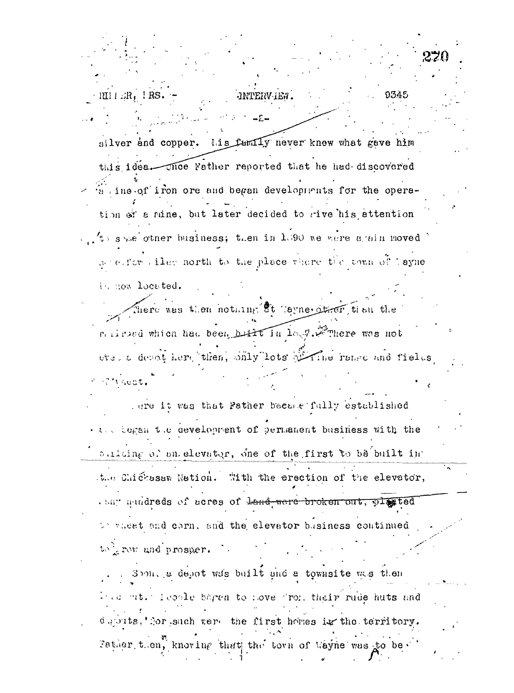$\cdot$  RH  $\pm$  JR,  $\pm$  RS JNTERV IEW. silver and copper. Lis funity never knew what gave him this idea. Those Father reported that he had discovered a ine of iron ore and began developments for the operation of a mine, but later decided to rive his attention  $\mathcal{L}_{\text{M}}$  she other business; then in 1.300 we were a ain moved. accessor like north to the place vhere the town of layne in now located. here was then nothing ot layne drien then the religion which had been built in low?. Free was not ever a depot here then, snly lots of The rease and fields ST NAGAT. ore it was that Father became fully established . and began the development of permanent business with the sulcing of an elevator, one of the first to be built in the Chickssaw Nation. With the erection of the elevator, . the mudreds of acres of Land were broken out, plated We wheat and corn, and the elevator business continued to grow and prosper.  $\therefore$ Soon, a depot was built and a townsite was then First mt. Techle bagen to hove from their rude huts and deputs. Tor such vert the first homes in the territory. Father then, knowing that the town of Wayne was to be.